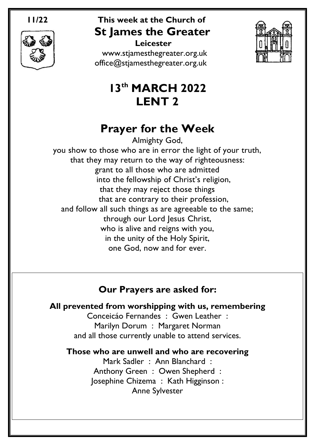

# **11/22 This week at the Church of St James the Greater**

 **Leicester** [www.stjamesthegreater.org.uk](http://www.stjamesthegreater.org.uk/) [office@stjamesthegreater.org.uk](mailto:office@stjamesthegreater.org.uk)



# **13th MARCH 2022 LENT 2**

# **Prayer for the Week**

Almighty God, you show to those who are in error the light of your truth, that they may return to the way of righteousness: grant to all those who are admitted into the fellowship of Christ's religion, that they may reject those things that are contrary to their profession, and follow all such things as are agreeable to the same; through our Lord Jesus Christ, who is alive and reigns with you, in the unity of the Holy Spirit, one God, now and for ever.

## **Our Prayers are asked for:**

**All prevented from worshipping with us, remembering** Conceicáo Fernandes : Gwen Leather : Marilyn Dorum : Margaret Norman and all those currently unable to attend services.

**Those who are unwell and who are recovering**

Mark Sadler : Ann Blanchard : Anthony Green : Owen Shepherd : Josephine Chizema : Kath Higginson : Anne Sylvester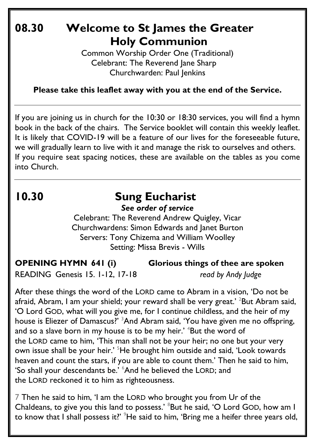# **08.30 Welcome to St James the Greater Holy Communion**

Common Worship Order One (Traditional) Celebrant: The Reverend Jane Sharp Churchwarden: Paul Jenkins

**Please take this leaflet away with you at the end of the Service.**

If you are joining us in church for the 10:30 or 18:30 services, you will find a hymn book in the back of the chairs. The Service booklet will contain this weekly leaflet. It is likely that COVID-19 will be a feature of our lives for the foreseeable future, we will gradually learn to live with it and manage the risk to ourselves and others. If you require seat spacing notices, these are available on the tables as you come into Church.

# **10.30 Sung Eucharist**

*See order of service*

Celebrant: The Reverend Andrew Quigley, Vicar Churchwardens: Simon Edwards and Janet Burton Servers: Tony Chizema and William Woolley Setting: Missa Brevis - Wills

**OPENING HYMN 641 (i) Glorious things of thee are spoken** 

READING Genesis 15. 1-12, 17-18 *read by Andy Judge*

After these things the word of the LORD came to Abram in a vision, 'Do not be afraid, Abram, I am your shield; your reward shall be very great.' <sup>2</sup>But Abram said, 'O Lord GOD, what will you give me, for I continue childless, and the heir of my house is Eliezer of Damascus?<sup>'</sup> <sup>3</sup>And Abram said, 'You have given me no offspring, and so a slave born in my house is to be my heir.'  $4$ But the word of the LORD came to him, 'This man shall not be your heir; no one but your very own issue shall be your heir.<sup>' 5</sup>He brought him outside and said, 'Look towards' heaven and count the stars, if you are able to count them.' Then he said to him, 'So shall your descendants be.' <sup>6</sup>And he believed the LORD; and the LORD reckoned it to him as righteousness.

7 Then he said to him, 'I am the LORD who brought you from Ur of the Chaldeans, to give you this land to possess.' <sup>8</sup>But he said, 'O Lord GOD, how am I to know that I shall possess it?' <sup>9</sup>He said to him, 'Bring me a heifer three years old,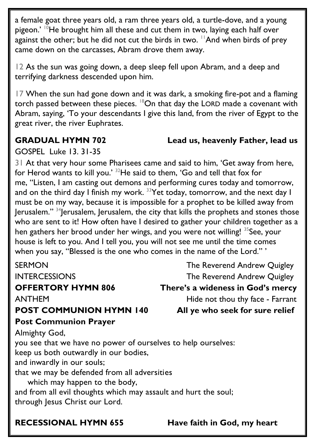a female goat three years old, a ram three years old, a turtle-dove, and a young pigeon.'  $10$ He brought him all these and cut them in two, laying each half over against the other; but he did not cut the birds in two.  $\frac{11}{1}$ And when birds of prey came down on the carcasses, Abram drove them away.

12 As the sun was going down, a deep sleep fell upon Abram, and a deep and terrifying darkness descended upon him.

17 When the sun had gone down and it was dark, a smoking fire-pot and a flaming torch passed between these pieces.  $18$ On that day the LORD made a covenant with Abram, saying, 'To your descendants I give this land, from the river of Egypt to the great river, the river Euphrates.

### **GRADUAL HYMN 702 Lead us, heavenly Father, lead us**

GOSPEL Luke 13. 31-35

31 At that very hour some Pharisees came and said to him, 'Get away from here, for Herod wants to kill you.' <sup>32</sup>He said to them, 'Go and tell that fox for me, "Listen, I am casting out demons and performing cures today and tomorrow, and on the third day I finish my work.  $33$  Yet today, tomorrow, and the next day I must be on my way, because it is impossible for a prophet to be killed away from Jerusalem."  $34$  Jerusalem, Jerusalem, the city that kills the prophets and stones those who are sent to it! How often have I desired to gather your children together as a hen gathers her brood under her wings, and you were not willing! <sup>35</sup>See, your house is left to you. And I tell you, you will not see me until the time comes when you say, "Blessed is the one who comes in the name of the Lord."

| <b>SERMON</b>                                                   | The Reverend Andrew Quigley       |
|-----------------------------------------------------------------|-----------------------------------|
| <b>INTERCESSIONS</b>                                            | The Reverend Andrew Quigley       |
| <b>OFFERTORY HYMN 806</b>                                       | There's a wideness in God's mercy |
| <b>ANTHEM</b>                                                   | Hide not thou thy face - Farrant  |
| <b>POST COMMUNION HYMN 140</b>                                  | All ye who seek for sure relief   |
| <b>Post Communion Prayer</b>                                    |                                   |
| Almighty God,                                                   |                                   |
| you see that we have no power of ourselves to help ourselves:   |                                   |
| keep us both outwardly in our bodies,                           |                                   |
| and inwardly in our souls;                                      |                                   |
| that we may be defended from all adversities                    |                                   |
| which may happen to the body,                                   |                                   |
| and from all evil thoughts which may assault and hurt the soul; |                                   |
| through Jesus Christ our Lord.                                  |                                   |
|                                                                 |                                   |

**RECESSIONAL HYMN 655 Have faith in God, my heart**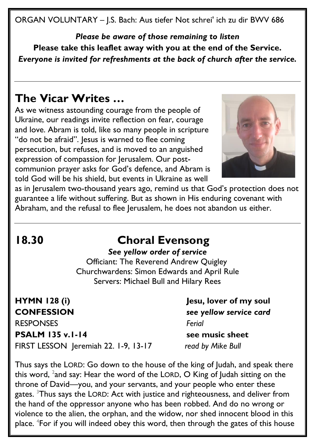ORGAN VOLUNTARY – J.S. Bach: Aus tiefer Not schrei' ich zu dir BWV 686

*Please be aware of those remaining to listen* **Please take this leaflet away with you at the end of the Service.**  *Everyone is invited for refreshments at the back of church after the service.*

## **The Vicar Writes …**

As we witness astounding courage from the people of Ukraine, our readings invite reflection on fear, courage and love. Abram is told, like so many people in scripture "do not be afraid". Jesus is warned to flee coming persecution, but refuses, and is moved to an anguished expression of compassion for Jerusalem. Our postcommunion prayer asks for God's defence, and Abram is told God will be his shield, but events in Ukraine as well



as in Jerusalem two-thousand years ago, remind us that God's protection does not guarantee a life without suffering. But as shown in His enduring covenant with Abraham, and the refusal to flee Jerusalem, he does not abandon us either.

# **18.30 Choral Evensong**

#### *See yellow order of service*

 Officiant: The Reverend Andrew Quigley Churchwardens: Simon Edwards and April Rule Servers: Michael Bull and Hilary Rees

**HYMN 128 (i) Jesu, lover of my soul CONFESSION** *see yellow service card* RESPONSES *Ferial* **PSALM** 135 v.1-14 see music sheet

FIRST LESSON Jeremiah 22. 1-9, 13-17 *read by Mike Bull*

Thus says the LORD: Go down to the house of the king of Judah, and speak there this word,  $^2$ and say: Hear the word of the LORD,  $\bm{\mathsf{O}}$  King of Judah sitting on the throne of David—you, and your servants, and your people who enter these gates. <sup>3</sup>Thus says the LORD: Act with justice and righteousness, and deliver from the hand of the oppressor anyone who has been robbed. And do no wrong or violence to the alien, the orphan, and the widow, nor shed innocent blood in this place. <sup>4</sup>For if you will indeed obey this word, then through the gates of this house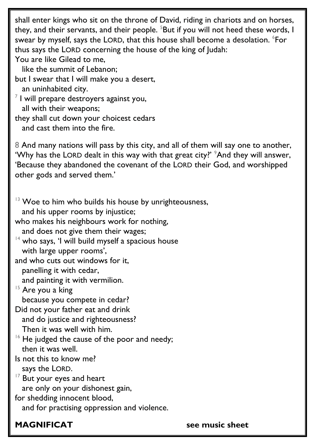shall enter kings who sit on the throne of David, riding in chariots and on horses, they, and their servants, and their people.  $5$ But if you will not heed these words, I swear by myself, says the LORD, that this house shall become a desolation.  $\mathrm{^6}$ For thus says the LORD concerning the house of the king of Judah: You are like Gilead to me, like the summit of Lebanon; but I swear that I will make you a desert, an uninhabited city.  $^7$  I will prepare destroyers against you, all with their weapons; they shall cut down your choicest cedars and cast them into the fire. 8 And many nations will pass by this city, and all of them will say one to another, 'Why has the LORD dealt in this way with that great city?'  $\degree$ And they will answer, 'Because they abandoned the covenant of the LORD their God, and worshipped other gods and served them.' <sup>13</sup> Woe to him who builds his house by unrighteousness,

 and his upper rooms by injustice; who makes his neighbours work for nothing,

and does not give them their wages;

 $14$  who says, 'I will build myself a spacious house with large upper rooms',

and who cuts out windows for it, panelling it with cedar,

and painting it with vermilion.

<sup>15</sup> Are you a king because you compete in cedar?

Did not your father eat and drink and do justice and righteousness? Then it was well with him.

 $16$  He judged the cause of the poor and needy; then it was well.

Is not this to know me? says the LORD.

<sup>17</sup> But your eyes and heart are only on your dishonest gain,

for shedding innocent blood,

and for practising oppression and violence.

**MAGNIFICAT see music sheet**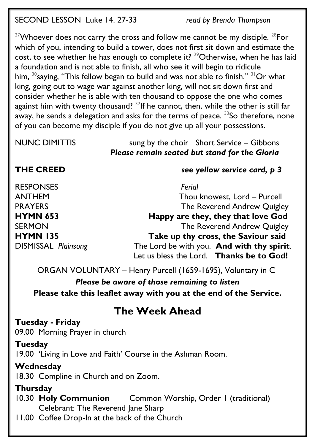SECOND LESSON Luke 14. 27-33 *read by Brenda Thompson*

 $27$ Whoever does not carry the cross and follow me cannot be my disciple.  $28$ For which of you, intending to build a tower, does not first sit down and estimate the cost, to see whether he has enough to complete it?  $29$ Otherwise, when he has laid a foundation and is not able to finish, all who see it will begin to ridicule him,  $30$ <sub>saying,</sub> "This fellow began to build and was not able to finish."  $31$ Or what king, going out to wage war against another king, will not sit down first and consider whether he is able with ten thousand to oppose the one who comes against him with twenty thousand? <sup>32</sup>If he cannot, then, while the other is still far away, he sends a delegation and asks for the terms of peace. <sup>33</sup>So therefore, none of you can become my disciple if you do not give up all your possessions.

NUNC DIMITTISsung by the choir Short Service – Gibbons *Please remain seated but stand for the Gloria*

#### **THE CREED** *see yellow service card, p 3*

RESPONSES *Ferial* 

ANTHEM Thou knowest, Lord – Purcell PRAYERS The Reverend Andrew Quigley **HYMN 653 Happy are they, they that love God** SERMON GERMON The Reverend Andrew Quigley **HYMN 135 Take up thy cross, the Saviour said** DISMISSAL *Plainsong* The Lord be with you. **And with thy spirit**. Let us bless the Lord. **Thanks be to God!**

ORGAN VOLUNTARY – Henry Purcell (1659-1695), Voluntary in C *Please be aware of those remaining to listen* **Please take this leaflet away with you at the end of the Service.** 

# **The Week Ahead**

### **Tuesday - Friday**

09.00 Morning Prayer in church

#### **Tuesday**

19.00 'Living in Love and Faith' Course in the Ashman Room.

### **Wednesday**

18.30 Compline in Church and on Zoom.

### **Thursday**

10.30 **Holy Communion** Common Worship, Order 1 (traditional) Celebrant: The Reverend Jane Sharp

11.00 Coffee Drop-In at the back of the Church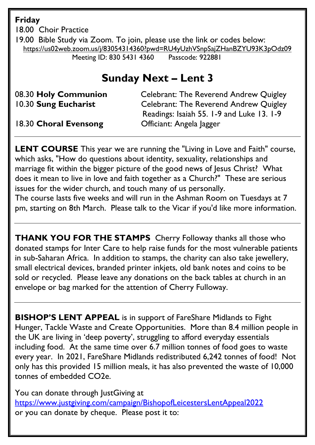**Friday** 

18.00 Choir Practice

19.00 Bible Study via Zoom. To join, please use the link or codes below: <https://us02web.zoom.us/j/83054314360?pwd=RU4yUzhVSnpSajZHanBZYU93K3pOdz09> Meeting ID: 830 5431 4360 Passcode: 922881

## **Sunday Next – Lent 3**

08.30 **Holy Communion** Celebrant: The Reverend Andrew Quigley 10.30 **Sung Eucharist** Celebrant: The Reverend Andrew Quigley Readings: Isaiah 55. 1-9 and Luke 13. 1-9

18.30 **Choral Evensong** Officiant: Angela Jagger

**LENT COURSE** This year we are running the "Living in Love and Faith" course, which asks, "How do questions about identity, sexuality, relationships and marriage fit within the bigger picture of the good news of Jesus Christ? What does it mean to live in love and faith together as a Church?" These are serious issues for the wider church, and touch many of us personally.

The course lasts five weeks and will run in the Ashman Room on Tuesdays at 7 pm, starting on 8th March. Please talk to the Vicar if you'd like more information.

**THANK YOU FOR THE STAMPS** Cherry Followay thanks all those who donated stamps for Inter Care to help raise funds for the most vulnerable patients in sub-Saharan Africa. In addition to stamps, the charity can also take jewellery, small electrical devices, branded printer inkjets, old bank notes and coins to be sold or recycled. Please leave any donations on the back tables at church in an envelope or bag marked for the attention of Cherry Fulloway.

**BISHOP'S LENT APPEAL** is in support of FareShare Midlands to Fight Hunger, Tackle Waste and Create Opportunities. More than 8.4 million people in the UK are living in 'deep poverty', struggling to afford everyday essentials including food. At the same time over 6.7 million tonnes of food goes to waste every year. In 2021, FareShare Midlands redistributed 6,242 tonnes of food! Not only has this provided 15 million meals, it has also prevented the waste of 10,000 tonnes of embedded CO2e.

You can donate through JustGiving at <https://www.justgiving.com/campaign/BishopofLeicestersLentAppeal2022> or you can donate by cheque. Please post it to: